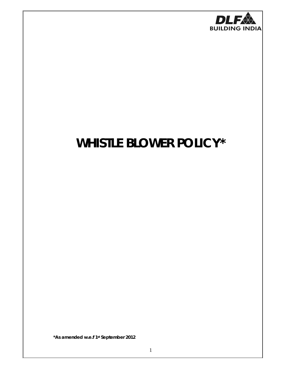

# **WHISTLE BLOWER POLICY\***

*\*As amended w.e.f 1st September 2012*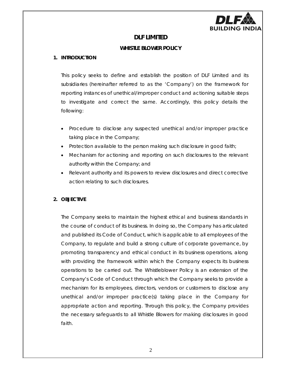

## **DLF LIMITED**

## **WHISTLE BLOWER POLICY**

## **1. INTRODUCTION**

This policy seeks to define and establish the position of DLF Limited and its subsidiaries (hereinafter referred to as the 'Company') on the framework for reporting instances of unethical/improper conduct and actioning suitable steps to investigate and correct the same. Accordingly, this policy details the following:

- Procedure to disclose any suspected unethical and/or improper practice taking place in the Company;
- Protection available to the person making such disclosure in good faith;
- Mechanism for actioning and reporting on such disclosures to the relevant authority within the Company; and
- Relevant authority and its powers to review disclosures and direct corrective action relating to such disclosures.

## **2. OBJECTIVE**

The Company seeks to maintain the highest ethical and business standards in the course of conduct of its business. In doing so, the Company has articulated and published its Code of Conduct, which is applicable to all employees of the Company, to regulate and build a strong culture of corporate governance, by promoting transparency and ethical conduct in its business operations, along with providing the framework within which the Company expects its business operations to be carried out. The Whistleblower Policy is an extension of the Company's Code of Conduct through which the Company seeks to provide a mechanism for its employees, directors, vendors or customers to disclose any unethical and/or improper practice(s) taking place in the Company for appropriate action and reporting. Through this policy, the Company provides the necessary safeguards to all Whistle Blowers for making disclosures in good faith.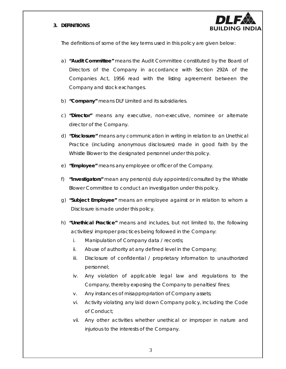### **3. DEFINITIONS**



The definitions of some of the key terms used in this policy are given below:

- a) **"Audit Committee"** means the Audit Committee constituted by the Board of Directors of the Company in accordance with Section 292A of the Companies Act, 1956 read with the listing agreement between the Company and stock exchanges.
- b) **"Company"** means DLF Limited and its subsidiaries.
- c) **"Director"** means any executive, non-executive, nominee or alternate director of the Company.
- d) **"Disclosure"** means any communication in writing in relation to an Unethical Practice (including anonymous disclosures) made in good faith by the Whistle Blower to the designated personnel under this policy.
- e) **"Employee"** means any employee or officer of the Company.
- f) **"Investigators"** mean any person(s) duly appointed/consulted by the Whistle Blower Committee to conduct an investigation under this policy.
- g) **"Subject Employee"** means an employee against or in relation to whom a Disclosure is made under this policy.
- h) **"Unethical Practice"** means and includes, but not limited to, the following activities/ improper practices being followed in the Company:
	- i. Manipulation of Company data / records;
	- ii. Abuse of authority at any defined level in the Company;
	- iii. Disclosure of confidential / proprietary information to unauthorized personnel;
	- iv. Any violation of applicable legal law and regulations to the Company, thereby exposing the Company to penalties/ fines;
	- v. Any instances of misappropriation of Company assets;
	- vi. Activity violating any laid down Company policy, including the Code of Conduct;
	- vii. Any other activities whether unethical or improper in nature and injurious to the interests of the Company.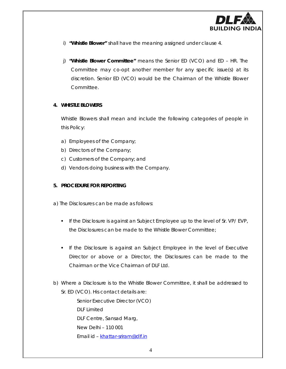

- i) **"Whistle Blower"** shall have the meaning assigned under clause 4.
- j) **"Whistle Blower Committee"** means the Senior ED (VCO) and ED HR. The Committee may co-opt another member for any specific issue(s) at its discretion. Senior ED (VCO) would be the Chairman of the Whistle Blower Committee.

#### **4. WHISTLE BLOWERS**

Whistle Blowers shall mean and include the following categories of people in this Policy:

- a) Employees of the Company;
- b) Directors of the Company;
- c) Customers of the Company; and
- d) Vendors doing business with the Company.

#### **5. PROCEDURE FOR REPORTING**

- a) The Disclosures can be made as follows:
	- If the Disclosure is against an Subject Employee up to the level of Sr. VP/ EVP, the Disclosures can be made to the Whistle Blower Committee;
	- If the Disclosure is against an Subject Employee in the level of Executive Director or above or a Director, the Disclosures can be made to the Chairman or the Vice Chairman of DLF Ltd.
- b) Where a Disclosure is to the Whistle Blower Committee, it shall be addressed to Sr. ED (VCO). His contact details are:

*Senior Executive Director (VCO)* DLF Limited DLF Centre, Sansad Marg, New Delhi – 110 001 Email id – khattar-sriram@dlf.in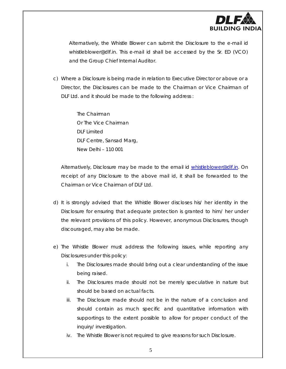

Alternatively, the Whistle Blower can submit the Disclosure to the e-mail id whistleblower@dlf.in*.* This e-mail id shall be accessed by the Sr. ED (VCO) and the Group Chief Internal Auditor.

c) Where a Disclosure is being made in relation to Executive Director or above or a Director, the Disclosures can be made to the Chairman or Vice Chairman of DLF Ltd. and it should be made to the following address :

> *The Chairman Or The Vice Chairman* DLF Limited DLF Centre, Sansad Marg, New Delhi – 110 001

Alternatively, Disclosure may be made to the email id whistleblower@dlf.in. On receipt of any Disclosure to the above mail id, it shall be forwarded to the Chairman or Vice Chairman of DLF Ltd.

- d) It is strongly advised that the Whistle Blower discloses his/ her identity in the Disclosure for ensuring that adequate protection is granted to him/ her under the relevant provisions of this policy. However, anonymous Disclosures, though discouraged, may also be made.
- e) The Whistle Blower must address the following issues, while reporting any Disclosures under this policy:
	- i. The Disclosures made should bring out a clear understanding of the issue being raised.
	- ii. The Disclosures made should not be merely speculative in nature but should be based on actual facts.
	- iii. The Disclosure made should not be in the nature of a conclusion and should contain as much specific and quantitative information with supportings to the extent possible to allow for proper conduct of the inquiry/ investigation.
	- iv. The Whistle Blower is not required to give reasons for such Disclosure.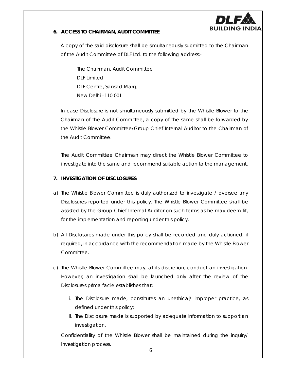

## **6. ACCESS TO CHAIRMAN, AUDIT COMMITTEE**

A copy of the said disclosure shall be simultaneously submitted to the Chairman of the Audit Committee of DLF Ltd. to the following address:-

*The Chairman,* Audit Committee DLF Limited DLF Centre, Sansad Marg, New Delhi –110 001

In case Disclosure is not simultaneously submitted by the Whistle Blower to the Chairman of the Audit Committee, a copy of the same shall be forwarded by the Whistle Blower Committee/Group Chief Internal Auditor to the Chairman of the Audit Committee.

The Audit Committee Chairman may direct the Whistle Blower Committee to investigate into the same and recommend suitable action to the management.

## **7. INVESTIGATION OF DISCLOSURES**

- a) The Whistle Blower Committee is duly authorized to investigate / oversee any Disclosures reported under this policy. The Whistle Blower Committee shall be assisted by the Group Chief Internal Auditor on such terms as he may deem fit, for the implementation and reporting under this policy.
- b) All Disclosures made under this policy shall be recorded and duly actioned, if required, in accordance with the recommendation made by the Whistle Blower Committee.
- c) The Whistle Blower Committee may, at its discretion, conduct an investigation. However, an investigation shall be launched only after the review of the Disclosures prima facie establishes that:
	- i. The Disclosure made, constitutes an unethical/ improper practice, as defined under this policy;
	- ii. The Disclosure made is supported by adequate information to support an investigation.

Confidentiality of the Whistle Blower shall be maintained during the inquiry/ investigation process.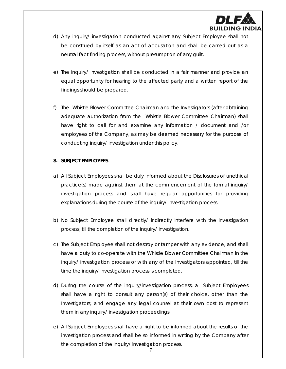

- d) Any inquiry/ investigation conducted against any Subject Employee shall not be construed by itself as an act of accusation and shall be carried out as a neutral fact finding process, without presumption of any guilt.
- e) The inquiry/ investigation shall be conducted in a fair manner and provide an equal opportunity for hearing to the affected party and a written report of the findings should be prepared.
- f) The Whistle Blower Committee Chairman and the Investigators (after obtaining adequate authorization from the Whistle Blower Committee Chairman) shall have right to call for and examine any information / document and /or employees of the Company, as may be deemed necessary for the purpose of conducting inquiry/ investigation under this policy.

### **8. SUBJECT EMPLOYEES**

- a) All Subject Employees shall be duly informed about the Disclosures of unethical practice(s) made against them at the commencement of the formal inquiry/ investigation process and shall have regular opportunities for providing explanations during the course of the inquiry/ investigation process.
- b) No Subject Employee shall directly/ indirectly interfere with the investigation process, till the completion of the inquiry/ investigation.
- c) The Subject Employee shall not destroy or tamper with any evidence, and shall have a duty to co-operate with the Whistle Blower Committee Chairman in the inquiry/ investigation process or with any of the Investigators appointed, till the time the inquiry/ investigation process is completed.
- d) During the course of the inquiry/investigation process, all Subject Employees shall have a right to consult any person(s) of their choice, other than the Investigators, and engage any legal counsel at their own cost to represent them in any inquiry/ investigation proceedings.
- e) All Subject Employees shall have a right to be informed about the results of the investigation process and shall be so informed in writing by the Company after the completion of the inquiry/ investigation process.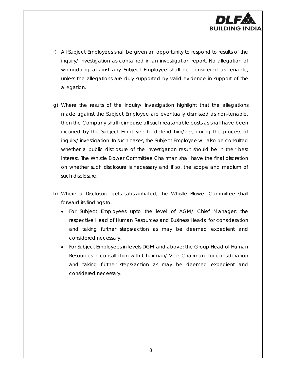

- f) All Subject Employees shall be given an opportunity to respond to results of the inquiry/ investigation as contained in an investigation report. No allegation of wrongdoing against any Subject Employee shall be considered as tenable, unless the allegations are duly supported by valid evidence in support of the allegation.
- g) Where the results of the inquiry/ investigation highlight that the allegations made against the Subject Employee are eventually dismissed as non-tenable, then the Company shall reimburse all such reasonable costs as shall have been incurred by the Subject Employee to defend him/her, during the process of inquiry/ investigation. In such cases, the Subject Employee will also be consulted whether a public disclosure of the investigation result should be in their best interest. The Whistle Blower Committee Chairman shall have the final discretion on whether such disclosure is necessary and if so, the scope and medium of such disclosure.
- h) Where a Disclosure gets substantiated, the Whistle Blower Committee shall forward its findings to:
	- For Subject Employees upto the level of AGM/ Chief Manager: the respective Head of Human Resources and Business Heads for consideration and taking further steps/action as may be deemed expedient and considered necessary.
	- For Subject Employees in levels DGM and above: the Group Head of Human Resources in consultation with Chairman/ Vice Chairman for consideration and taking further steps/action as may be deemed expedient and considered necessary.